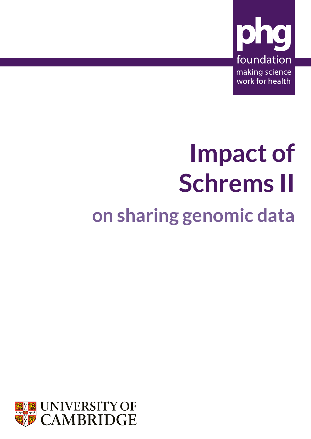

# **Impact of Schrems II on sharing genomic data**

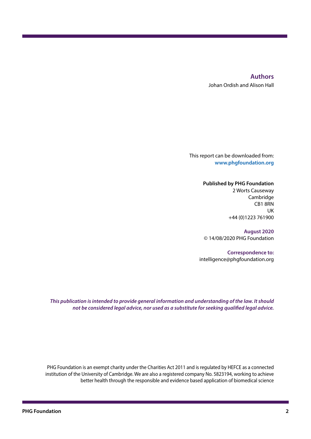#### **Authors**

Johan Ordish and Alison Hall

This report can be downloaded from: **[www.phgfoundation.org](http://www.phgfoundation.org)**

> **Published by PHG Foundation** 2 Worts Causeway **Cambridge** CB1 8RN UK +44 (0)1223 761900

**August 2020** © 14/08/2020 PHG Foundation

**Correspondence to:** intelligence@phgfoundation.org

*This publication is intended to provide general information and understanding of the law. It should not be considered legal advice, nor used as a substitute for seeking qualified legal advice.*

PHG Foundation is an exempt charity under the Charities Act 2011 and is regulated by HEFCE as a connected institution of the University of Cambridge. We are also a registered company No. 5823194, working to achieve better health through the responsible and evidence based application of biomedical science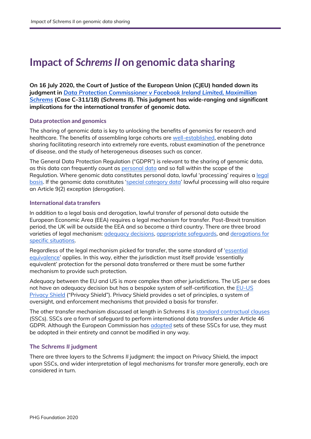## **Impact of** *Schrems II* **on genomic data sharing**

**On 16 July 2020, the Court of Justice of the European Union (CJEU) handed down its judgment in** *[Data Protection Commissioner v Facebook Ireland Limited, Maximillian](http://curia.europa.eu/juris/document/document.jsf?text=&docid=228677&pageIndex=0&doclang=EN&mode=lst&dir=&occ=first&part=1&cid=9745404)  [Schrems](http://curia.europa.eu/juris/document/document.jsf?text=&docid=228677&pageIndex=0&doclang=EN&mode=lst&dir=&occ=first&part=1&cid=9745404)* **(Case C-311/18) (***Schrems II***). This judgment has wide-ranging and significant implications for the international transfer of genomic data.** 

#### **Data protection and genomics**

The sharing of genomic data is key to unlocking the benefits of genomics for research and healthcare. The benefits of assembling large cohorts are [well-established,](https://www.biorxiv.org/content/10.1101/203554v1.full.pdf) enabling data sharing facilitating research into extremely rare events, robust examination of the penetrance of disease, and the study of heterogeneous diseases such as cancer.

The General Data Protection Regulation ("GDPR") is relevant to the sharing of genomic data, as this data can frequently count a[s personal data](https://www.phgfoundation.org/documents/gdpr-and-genomic-data-report.pdf#page=35) and so fall within the scope of the Regulation. Where genomic data constitutes personal data, lawful 'processing' requires a [legal](https://www.phgfoundation.org/documents/gdpr-and-genomic-data-report.pdf#page=62)  [basis.](https://www.phgfoundation.org/documents/gdpr-and-genomic-data-report.pdf#page=62) If the genomic data constitutes ['special category data'](https://www.phgfoundation.org/documents/gdpr-and-genomic-data-report.pdf#page=71) lawful processing will also require an Article 9(2) exception (derogation).

#### **International data transfers**

In addition to a legal basis and derogation, lawful transfer of personal data outside the European Economic Area (EEA) requires a legal mechanism for transfer. Post-Brexit transition period, the UK will be outside the EEA and so become a third country. There are three broad varieties of legal mechanism: [adequacy decisions,](https://www.phgfoundation.org/documents/gdpr-and-genomic-data-report.pdf#page=111) [appropriate safeguards,](https://www.phgfoundation.org/documents/gdpr-and-genomic-data-report.pdf#page=114) and [derogations for](https://www.phgfoundation.org/documents/gdpr-and-genomic-data-report.pdf#page=123)  [specific situations.](https://www.phgfoundation.org/documents/gdpr-and-genomic-data-report.pdf#page=123)

Regardless of the legal mechanism picked for transfer, the same standard of ['essential](https://www.phgfoundation.org/documents/gdpr-and-genomic-data-report.pdf#page=108)  [equivalence'](https://www.phgfoundation.org/documents/gdpr-and-genomic-data-report.pdf#page=108) applies. In this way, either the jurisdiction must itself provide 'essentially equivalent' protection for the personal data transferred or there must be some further mechanism to provide such protection.

Adequacy between the EU and US is more complex than other jurisdictions. The US *per se* does not have an adequacy decision but has a bespoke system of self-certification, the [EU-US](https://eur-lex.europa.eu/legal-content/EN/TXT/HTML/?uri=CELEX:32016D1250&from=EN)  [Privacy Shield](https://eur-lex.europa.eu/legal-content/EN/TXT/HTML/?uri=CELEX:32016D1250&from=EN) ("Privacy Shield"). Privacy Shield provides a set of principles, a system of oversight, and enforcement mechanisms that provided a basis for transfer.

The other transfer mechanism discussed at length in *Schrems II* is [standard contractual clauses](https://www.phgfoundation.org/documents/gdpr-and-genomic-data-report.pdf#page=120) (SSCs). SSCs are a form of safeguard to perform international data transfers under Article 46 GDPR. Although the European Commission has **adopted sets of these SSCs for use**, they must be adopted in their entirety and cannot be modified in any way.

#### **The** *Schrems II* **judgment**

There are three layers to the *Schrems II* judgment: the impact on Privacy Shield, the impact upon SSCs, and wider interpretation of legal mechanisms for transfer more generally, each are considered in turn.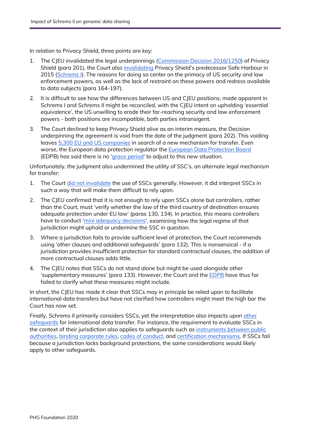In relation to Privacy Shield, three points are key:

- 1. The CJEU invalidated the legal underpinnings [\(Commission Decision 2016/1250\)](https://eur-lex.europa.eu/legal-content/EN/TXT/HTML/?uri=CELEX:32016D1250&from=EN) of Privacy Shield (para 201), the Court also [invalidating](http://curia.europa.eu/juris/document/document.jsf?text=&docid=169195&pageIndex=0&doclang=EN&mode=lst&dir=&occ=first&part=1&cid=11395039) Privacy Shield's predecessor Safe Harbour in 2015 (*[Schrems I](http://curia.europa.eu/juris/document/document.jsf?text=&docid=169195&pageIndex=0&doclang=EN&mode=lst&dir=&occ=first&part=1&cid=11395039)*). The reasons for doing so center on the primacy of US security and law enforcement powers, as well as the lack of restraint on these powers and redress available to data subjects (para 164-197).
- 2. It is difficult to see how the differences between US and CJEU positions, made apparent in *Schrems I* and *Schrems II* might be reconciled, with the CJEU intent on upholding 'essential equivalence', the US unwilling to erode their far-reaching security and law enforcement powers - both positions are incompatible, both parties intransigent.
- 3. The Court declined to keep Privacy Shield alive as an interim measure, the Decision underpinning the agreement is void from the date of the judgment (para 202). This voiding leave[s 5,300 EU and US companies](https://www.state.gov/european-court-of-justice-invalidates-eu-u-s-privacy-shield/) in search of a new mechanism for transfer. Even worse, the European data protection regulator the **European Data Protection Board** (EDPB) has said there is no ['grace period'](https://europeanlawblog.eu/2020/07/21/after-schrems-ii-uncertainties-on-the-legal-basis-for-data-transfers-and-constitutional-implications-for-europe/) to adjust to this new situation.

Unfortunately, the judgment also undermined the utility of SSC's, an alternate legal mechanism for transfer:

- 1. The Court [did not invalidate](https://edpb.europa.eu/sites/edpb/files/files/file1/20200724_edpb_faqoncjeuc31118_en.pdf#page=1) the use of SSCs generally. However, it did interpret SSCs in such a way that will make them difficult to rely upon.
- 2. The CJEU confirmed that it is not enough to rely upon SSCs alone but controllers, rather than the Court, must 'verify whether the law of the third country of destination ensures adequate protection under EU law' (paras 130, 134). In practice, this means controllers have to conduct ['mini adequacy decisions'](https://europeanlawblog.eu/2020/07/17/the-schrems-ii-judgment-of-the-court-of-justice-and-the-future-of-data-transfer-regulation/), examining how the legal regime of that jurisdiction might uphold or undermine the SSC in question.
- 3. Where a jurisdiction fails to provide sufficient level of protection, the Court recommends using 'other clauses and additional safeguards' (para 132). This is nonsensical - if a jurisdiction provides insufficient protection for standard *contractual* clauses, the addition of more contractual clauses adds little.
- 4. The CJEU notes that SSCs do not stand alone but might be used alongside other 'supplementary measures' (para 133). However, the Court and the [EDPB](https://edpb.europa.eu/sites/edpb/files/files/file1/20200724_edpb_faqoncjeuc31118_en.pdf#page=5) have thus far failed to clarify what these measures might include.

In short, the CJEU has made it clear that SSCs may in principle be relied upon to facilitate international data transfers but have not clarified how controllers might meet the high bar the Court has now set.

Finally, Schrems II primarily considers SSCs, yet the interpretation also impacts upon other [safeguards](https://edpb.europa.eu/sites/edpb/files/files/file1/20200724_edpb_faqoncjeuc31118_en.pdf#page=3) for international data transfer. For instance, the requirement to evaluate SSCs in the context of their jurisdiction also applies to safequards such as instruments between public [authorities,](https://www.phgfoundation.org/documents/gdpr-and-genomic-data-report.pdf#page=115) [binding corporate rules,](https://www.phgfoundation.org/documents/gdpr-and-genomic-data-report.pdf#page=117) [codes of conduct,](https://www.phgfoundation.org/documents/gdpr-and-genomic-data-report.pdf#page=122) and [certification mechanisms.](https://www.phgfoundation.org/documents/gdpr-and-genomic-data-report.pdf#page=122) If SSCs fail because a jurisdiction lacks background protections, the same considerations would likely apply to other safeguards.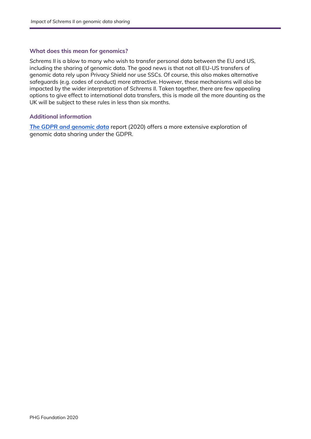#### **What does this mean for genomics?**

*Schrems II* is a blow to many who wish to transfer personal data between the EU and US, including the sharing of genomic data. The good news is that not all EU-US transfers of genomic data rely upon Privacy Shield nor use SSCs. Of course, this also makes alternative safeguards (e.g. codes of conduct) more attractive. However, these mechanisms will also be impacted by the wider interpretation of *Schrems II*. Taken together, there are few appealing options to give effect to international data transfers, this is made all the more daunting as the UK will be subject to these rules in less than six months.

#### **Additional information**

*[The GDPR and genomic data](https://www.phgfoundation.org/documents/gdpr-and-genomic-data-report.pdf#page=99)* report (2020) offers a more extensive exploration of genomic data sharing under the GDPR.